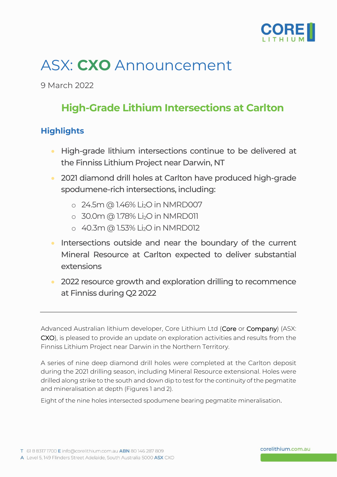

# ASX: **CXO** Announcement

9 March 2022

# **High-Grade Lithium Intersections at Carlton**

### **Highlights**

- High-grade lithium intersections continue to be delivered at the Finniss Lithium Project near Darwin, NT
- 2021 diamond drill holes at Carlton have produced high-grade spodumene-rich intersections, including:
	- o 24.5m @ 1.46% Li2O in NMRD007
	- $\circ$  30.0m @ 1.78% Li<sub>2</sub>O in NMRD011
	- $\circ$  40.3m @ 1.53% Li<sub>2</sub>O in NMRD012
- Intersections outside and near the boundary of the current Mineral Resource at Carlton expected to deliver substantial extensions
- 2022 resource growth and exploration drilling to recommence at Finniss during Q2 2022

Advanced Australian lithium developer, Core Lithium Ltd (Core or Company) (ASX: CXO), is pleased to provide an update on exploration activities and results from the Finniss Lithium Project near Darwin in the Northern Territory.

A series of nine deep diamond drill holes were completed at the Carlton deposit during the 2021 drilling season, including Mineral Resource extensional. Holes were drilled along strike to the south and down dip to test for the continuity of the pegmatite and mineralisation at depth (Figures 1 and 2).

Eight of the nine holes intersected spodumene bearing pegmatite mineralisation.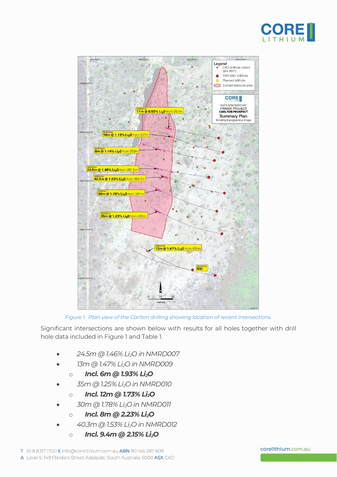



*Figure 1. Plan view of the Carlton drilling showing location of recent intersections.*

Significant intersections are shown below with results for all holes together with drill hole data included in Figure 1 and Table 1.

- *24.5m @ 1.46% Li2O in NMRD007*
- *13m @ 1.47% Li2O in NMRD009*
	- o *Incl. 6m @ 1.93% Li2O*
- *35m @ 1.25% Li2O in NMRD010*
	- o *Incl. 12m @ 1.73% Li2O*
- *30m @ 1.78% Li2O in NMRD011*
	- o *Incl. 8m @ 2.23% Li2O*
- *40.3m @ 1.53% Li2O in NMRD012*
	- o *Incl. 9.4m @ 2.15% Li2O*

#### corelithium.com.au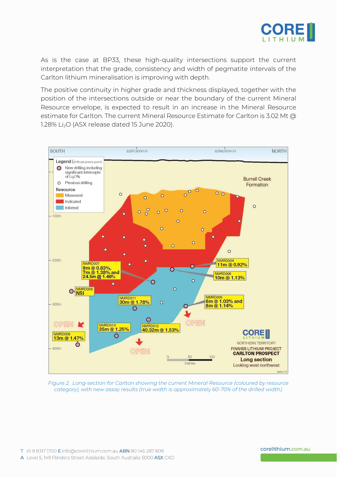

As is the case at BP33, these high-quality intersections support the current interpretation that the grade, consistency and width of pegmatite intervals of the Carlton lithium mineralisation is improving with depth.

The positive continuity in higher grade and thickness displayed, together with the position of the intersections outside or near the boundary of the current Mineral Resource envelope, is expected to result in an increase in the Mineral Resource estimate for Carlton. The current Mineral Resource Estimate for Carlton is 3.02 Mt @ 1.28% Li<sub>2</sub>O (ASX release dated 15 June 2020).



*Figure 2. Long-section for Carlton showing the current Mineral Resource (coloured by resource category), with new assay results (true width is approximately 60-70% of the drilled width).*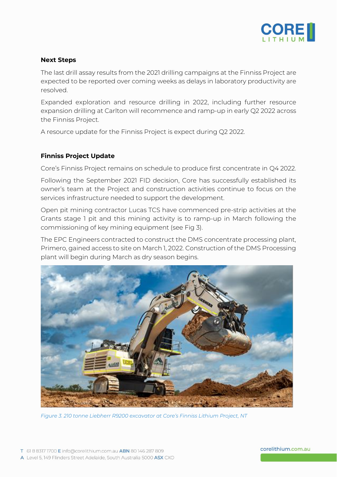

#### **Next Steps**

The last drill assay results from the 2021 drilling campaigns at the Finniss Project are expected to be reported over coming weeks as delays in laboratory productivity are resolved.

Expanded exploration and resource drilling in 2022, including further resource expansion drilling at Carlton will recommence and ramp-up in early Q2 2022 across the Finniss Project.

A resource update for the Finniss Project is expect during Q2 2022.

#### **Finniss Project Update**

Core's Finniss Project remains on schedule to produce first concentrate in Q4 2022.

Following the September 2021 FID decision, Core has successfully established its owner's team at the Project and construction activities continue to focus on the services infrastructure needed to support the development.

Open pit mining contractor Lucas TCS have commenced pre-strip activities at the Grants stage 1 pit and this mining activity is to ramp-up in March following the commissioning of key mining equipment (see Fig 3).

The EPC Engineers contracted to construct the DMS concentrate processing plant, Primero, gained access to site on March 1, 2022. Construction of the DMS Processing plant will begin during March as dry season begins.



*Figure 3. 210 tonne Liebherr R9200 excavator at Core's Finniss Lithium Project, NT*

corelithium.com.au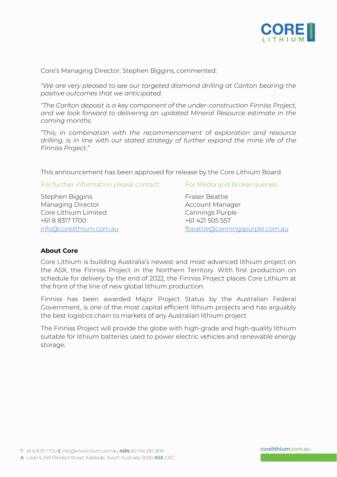

Core's Managing Director, Stephen Biggins, commented:

*"We are very pleased to see our targeted diamond drilling at Carlton bearing the positive outcomes that we anticipated.*

*"The Carlton deposit is a key component of the under-construction Finniss Project, and we look forward to delivering an updated Mineral Resource estimate in the coming months.*

*"This, in combination with the recommencement of exploration and resource drilling, is in line with our stated strategy of further expand the mine life of the Finniss Project."*

This announcement has been approved for release by the Core Lithium Board.

For further information please contact: For Media and Broker queries:

Stephen Biggins Fraser Beattie Managing Director **Account Manager** Account Manager Core Lithium Limited Core Lithium Limited Cannings Purple +61 8 8317 1700 +61 421 505 557

[info@corelithium.com.au](mailto:info@corelithium.com.au) fbeattie@canningspurple.com.au

#### **About Core**

Core Lithium is building Australia's newest and most advanced lithium project on the ASX, the Finniss Project in the Northern Territory. With first production on schedule for delivery by the end of 2022, the Finniss Project places Core Lithium at the front of the line of new global lithium production.

Finniss has been awarded Major Project Status by the Australian Federal Government, is one of the most capital efficient lithium projects and has arguably the best logistics chain to markets of any Australian lithium project.

The Finniss Project will provide the globe with high-grade and high-quality lithium suitable for lithium batteries used to power electric vehicles and renewable energy storage.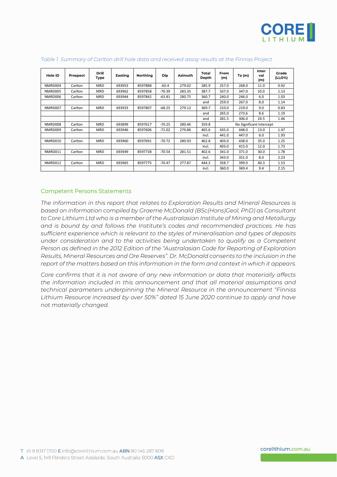

| Hole ID | Prospect | <b>Drill</b><br>Type | Easting | Northing | <b>Dip</b> | <b>Azimuth</b> | Total<br>Depth | From<br>(m) | To (m)                   | Inter<br>val<br>(m) | Grade<br>(Li <sub>2</sub> O%) |
|---------|----------|----------------------|---------|----------|------------|----------------|----------------|-------------|--------------------------|---------------------|-------------------------------|
| NMRD004 | Carlton  | <b>MRD</b>           | 693953  | 8597888  | $-65.4$    | 279.02         | 285.9          | 257.0       | 268.0                    | 11.0                | 0.92                          |
| NMRD005 | Carlton  | <b>MRD</b>           | 693962  | 8597858  | $-70.39$   | 283.35         | 387.7          | 337.0       | 347.0                    | 10.0                | 1.13                          |
| NMRD006 | Carlton  | <b>MRD</b>           | 693944  | 8597842  | $-63.81$   | 280.75         | 360.7          | 240.0       | 246.0                    | 6.0                 | 1.03                          |
|         |          |                      |         |          |            |                | and            | 259.0       | 267.0                    | 8.0                 | 1.14                          |
| NMRD007 | Carlton  | <b>MRD</b>           | 693933  | 8597807  | $-68.25$   | 279.12         | 369.7          | 210.0       | 219.0                    | 9.0                 | 0.83                          |
|         |          |                      |         |          |            |                | and            | 265.0       | 273.6                    | 8.6                 | 1.19                          |
|         |          |                      |         |          |            |                | and            | 281.5       | 306.0                    | 24.5                | 1.46                          |
| NMRD008 | Carlton  | <b>MRD</b>           | 693899  | 8597617  | $-70.25$   | 280.46         | 359.8          |             | No Significant Intercept |                     |                               |
| NMRD009 | Carlton  | <b>MRD</b>           | 693946  | 8597606  | $-71.02$   | 279.86         | 465.6          | 435.0       | 448.0                    | 13.0                | 1.47                          |
|         |          |                      |         |          |            |                | incl.          | 441.0       | 447.0                    | 6.0                 | 1.93                          |
| NMRD010 | Carlton  | <b>MRD</b>           | 693960  | 8597691  | $-70.72$   | 280.93         | 462.8          | 403.0       | 438.0                    | 35.0                | 1.25                          |
|         |          |                      |         |          |            |                | incl.          | 403.0       | 415.0                    | 12.0                | 1.73                          |
| NMRD011 | Carlton  | <b>MRD</b>           | 693949  | 8597738  | $-70.54$   | 281.51         | 402.6          | 341.0       | 371.0                    | 30.0                | 1.78                          |
|         |          |                      |         |          |            |                | incl.          | 343.0       | 351.0                    | 8.0                 | 2.23                          |
| NMRD012 | Carlton  | <b>MRD</b>           | 693965  | 8597775  | $-70.47$   | 277.87         | 444.2          | 358.7       | 399.0                    | 40.3                | 1.53                          |
|         |          |                      |         |          |            |                | incl.          | 360.0       | 369.4                    | 9.4                 | 2.15                          |

#### *Table 1 Summary of Carlton drill hole data and received assay results at the Finniss Project*

#### Competent Persons Statements

*The information in this report that relates to Exploration Results and Mineral Resources is based on information compiled by Graeme McDonald (BSc(Hons)Geol, PhD) as Consultant to Core Lithium Ltd who is a member of the Australasian Institute of Mining and Metallurgy and is bound by and follows the Institute's codes and recommended practices. He has sufficient experience which is relevant to the styles of mineralisation and types of deposits under consideration and to the activities being undertaken to qualify as a Competent Person as defined in the 2012 Edition of the "Australasian Code for Reporting of Exploration Results, Mineral Resources and Ore Reserves". Dr. McDonald consents to the inclusion in the report of the matters based on this information in the form and context in which it appears.*

*Core confirms that it is not aware of any new information or data that materially affects the information included in this announcement and that all material assumptions and technical parameters underpinning the Mineral Resource in the announcement "Finniss Lithium Resource increased by over 50%" dated 15 June 2020 continue to apply and have not materially changed.*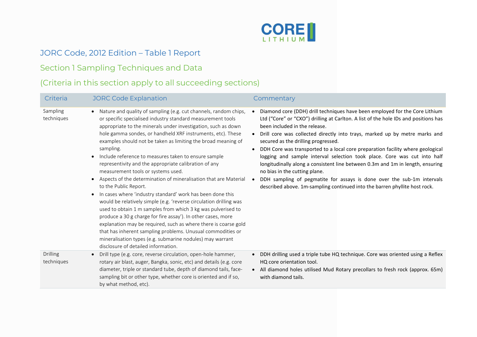

# JORC Code, 2012 Edition – Table 1 Report

## Section 1 Sampling Techniques and Data

# (Criteria in this section apply to all succeeding sections)

| Criteria                      | <b>JORC Code Explanation</b>                                                                                                                                                                                                                                                                                                                                                                                                                                                                                                                                                                                                                                                                                                                                                                                                                                                                                                                                                                                                                                                                                                                                    | Commentary                                                                                                                                                                                                                                                                                                                                                                                                                                                                                                                                                                                                                                                                                                                                                        |
|-------------------------------|-----------------------------------------------------------------------------------------------------------------------------------------------------------------------------------------------------------------------------------------------------------------------------------------------------------------------------------------------------------------------------------------------------------------------------------------------------------------------------------------------------------------------------------------------------------------------------------------------------------------------------------------------------------------------------------------------------------------------------------------------------------------------------------------------------------------------------------------------------------------------------------------------------------------------------------------------------------------------------------------------------------------------------------------------------------------------------------------------------------------------------------------------------------------|-------------------------------------------------------------------------------------------------------------------------------------------------------------------------------------------------------------------------------------------------------------------------------------------------------------------------------------------------------------------------------------------------------------------------------------------------------------------------------------------------------------------------------------------------------------------------------------------------------------------------------------------------------------------------------------------------------------------------------------------------------------------|
| Sampling<br>techniques        | Nature and quality of sampling (e.g. cut channels, random chips,<br>$\bullet$<br>or specific specialised industry standard measurement tools<br>appropriate to the minerals under investigation, such as down<br>hole gamma sondes, or handheld XRF instruments, etc). These<br>examples should not be taken as limiting the broad meaning of<br>sampling.<br>Include reference to measures taken to ensure sample<br>$\bullet$<br>representivity and the appropriate calibration of any<br>measurement tools or systems used.<br>Aspects of the determination of mineralisation that are Material<br>$\bullet$<br>to the Public Report.<br>In cases where 'industry standard' work has been done this<br>$\bullet$<br>would be relatively simple (e.g. 'reverse circulation drilling was<br>used to obtain 1 m samples from which 3 kg was pulverised to<br>produce a 30 g charge for fire assay'). In other cases, more<br>explanation may be required, such as where there is coarse gold<br>that has inherent sampling problems. Unusual commodities or<br>mineralisation types (e.g. submarine nodules) may warrant<br>disclosure of detailed information. | Diamond core (DDH) drill techniques have been employed for the Core Lithium<br>Ltd ("Core" or "CXO") drilling at Carlton. A list of the hole IDs and positions has<br>been included in the release.<br>Drill core was collected directly into trays, marked up by metre marks and<br>secured as the drilling progressed.<br>DDH Core was transported to a local core preparation facility where geological<br>logging and sample interval selection took place. Core was cut into half<br>longitudinally along a consistent line between 0.3m and 1m in length, ensuring<br>no bias in the cutting plane.<br>DDH sampling of pegmatite for assays is done over the sub-1m intervals<br>described above. 1m-sampling continued into the barren phyllite host rock. |
| <b>Drilling</b><br>techniques | Drill type (e.g. core, reverse circulation, open-hole hammer,<br>$\bullet$<br>rotary air blast, auger, Bangka, sonic, etc) and details (e.g. core<br>diameter, triple or standard tube, depth of diamond tails, face-<br>sampling bit or other type, whether core is oriented and if so,<br>by what method, etc).                                                                                                                                                                                                                                                                                                                                                                                                                                                                                                                                                                                                                                                                                                                                                                                                                                               | DDH drilling used a triple tube HQ technique. Core was oriented using a Reflex<br>HQ core orientation tool.<br>All diamond holes utilised Mud Rotary precollars to fresh rock (approx. 65m)<br>with diamond tails.                                                                                                                                                                                                                                                                                                                                                                                                                                                                                                                                                |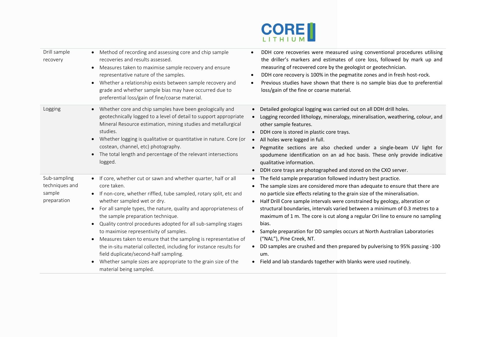

| Drill sample<br>recovery                                | • Method of recording and assessing core and chip sample<br>recoveries and results assessed.<br>Measures taken to maximise sample recovery and ensure<br>$\bullet$<br>representative nature of the samples.<br>Whether a relationship exists between sample recovery and<br>$\bullet$<br>grade and whether sample bias may have occurred due to<br>preferential loss/gain of fine/coarse material.                                                                                                                                                                                                                                                                                                                                          | DDH core recoveries were measured using conventional procedures utilising<br>the driller's markers and estimates of core loss, followed by mark up and<br>measuring of recovered core by the geologist or geotechnician.<br>DDH core recovery is 100% in the pegmatite zones and in fresh host-rock.<br>$\bullet$<br>Previous studies have shown that there is no sample bias due to preferential<br>$\bullet$<br>loss/gain of the fine or coarse material.                                                                                                                                                                                                                                                                                                                          |
|---------------------------------------------------------|---------------------------------------------------------------------------------------------------------------------------------------------------------------------------------------------------------------------------------------------------------------------------------------------------------------------------------------------------------------------------------------------------------------------------------------------------------------------------------------------------------------------------------------------------------------------------------------------------------------------------------------------------------------------------------------------------------------------------------------------|--------------------------------------------------------------------------------------------------------------------------------------------------------------------------------------------------------------------------------------------------------------------------------------------------------------------------------------------------------------------------------------------------------------------------------------------------------------------------------------------------------------------------------------------------------------------------------------------------------------------------------------------------------------------------------------------------------------------------------------------------------------------------------------|
| Logging                                                 | Whether core and chip samples have been geologically and<br>$\bullet$<br>geotechnically logged to a level of detail to support appropriate<br>Mineral Resource estimation, mining studies and metallurgical<br>studies.<br>Whether logging is qualitative or quantitative in nature. Core (or<br>$\bullet$<br>costean, channel, etc) photography.<br>The total length and percentage of the relevant intersections<br>$\bullet$<br>logged.                                                                                                                                                                                                                                                                                                  | Detailed geological logging was carried out on all DDH drill holes.<br>Logging recorded lithology, mineralogy, mineralisation, weathering, colour, and<br>other sample features.<br>DDH core is stored in plastic core trays.<br>$\bullet$<br>All holes were logged in full.<br>$\bullet$<br>Pegmatite sections are also checked under a single-beam UV light for<br>spodumene identification on an ad hoc basis. These only provide indicative<br>qualitative information.<br>DDH core trays are photographed and stored on the CXO server.<br>$\bullet$                                                                                                                                                                                                                            |
| Sub-sampling<br>techniques and<br>sample<br>preparation | • If core, whether cut or sawn and whether quarter, half or all<br>core taken.<br>• If non-core, whether riffled, tube sampled, rotary split, etc and<br>whether sampled wet or dry.<br>For all sample types, the nature, quality and appropriateness of<br>$\bullet$<br>the sample preparation technique.<br>Quality control procedures adopted for all sub-sampling stages<br>$\bullet$<br>to maximise representivity of samples.<br>Measures taken to ensure that the sampling is representative of<br>$\bullet$<br>the in-situ material collected, including for instance results for<br>field duplicate/second-half sampling.<br>Whether sample sizes are appropriate to the grain size of the<br>$\bullet$<br>material being sampled. | • The field sample preparation followed industry best practice.<br>The sample sizes are considered more than adequate to ensure that there are<br>no particle size effects relating to the grain size of the mineralisation.<br>Half Drill Core sample intervals were constrained by geology, alteration or<br>structural boundaries, intervals varied between a minimum of 0.3 metres to a<br>maximum of 1 m. The core is cut along a regular Ori line to ensure no sampling<br>bias.<br>Sample preparation for DD samples occurs at North Australian Laboratories<br>("NAL"), Pine Creek, NT.<br>DD samples are crushed and then prepared by pulverising to 95% passing -100<br>$\bullet$<br>um.<br>Field and lab standards together with blanks were used routinely.<br>$\bullet$ |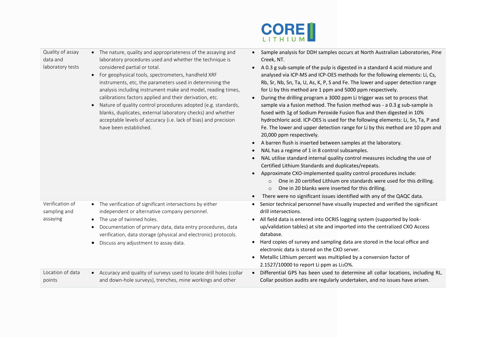

#### Quality of assay data and laboratory tests

Verification of sampling and assaying

- The nature, quality and appropriateness of the assaying and laboratory procedures used and whether the technique is considered partial or total.
- For geophysical tools, spectrometers, handheld XRF instruments, etc, the parameters used in determining the analysis including instrument make and model, reading times, calibrations factors applied and their derivation, etc.
- Nature of quality control procedures adopted (e.g. standards, blanks, duplicates, external laboratory checks) and whether acceptable levels of accuracy (i.e. lack of bias) and precision have been established.

• The verification of significant intersections by either independent or alternative company personnel.

• Documentation of primary data, data entry procedures, data verification, data storage (physical and electronic) protocols.

• The use of twinned holes.

• Discuss any adjustment to assay data.

- Sample analysis for DDH samples occurs at North Australian Laboratories, Pine Creek, NT.
- A 0.3 g sub-sample of the pulp is digested in a standard 4 acid mixture and analysed via ICP-MS and ICP-OES methods for the following elements: Li, Cs, Rb, Sr, Nb, Sn, Ta, U, As, K, P, S and Fe. The lower and upper detection range for Li by this method are 1 ppm and 5000 ppm respectively.
- During the drilling program a 3000 ppm Li trigger was set to process that sample via a fusion method. The fusion method was - a 0.3 g sub-sample is fused with 1g of Sodium Peroxide Fusion flux and then digested in 10% hydrochloric acid. ICP-OES is used for the following elements: Li, Sn, Ta, P and Fe. The lower and upper detection range for Li by this method are 10 ppm and 20,000 ppm respectively.
- A barren flush is inserted between samples at the laboratory.
- NAL has a regime of 1 in 8 control subsamples.
- NAL utilise standard internal quality control measures including the use of Certified Lithium Standards and duplicates/repeats.
- Approximate CXO-implemented quality control procedures include:
	- o One in 20 certified Lithium ore standards were used for this drilling.
	- o One in 20 blanks were inserted for this drilling.
- There were no significant issues identified with any of the QAQC data.
- Senior technical personnel have visually inspected and verified the significant drill intersections.
- All field data is entered into OCRIS logging system (supported by lookup/validation tables) at site and imported into the centralized CXO Access database.
- Hard copies of survey and sampling data are stored in the local office and electronic data is stored on the CXO server.
- Metallic Lithium percent was multiplied by a conversion factor of 2.1527/10000 to report Li ppm as  $Li<sub>2</sub>O$ %.
- Location of data points • Accuracy and quality of surveys used to locate drill holes (collar and down-hole surveys), trenches, mine workings and other • Differential GPS has been used to determine all collar locations, including RL. Collar position audits are regularly undertaken, and no issues have arisen.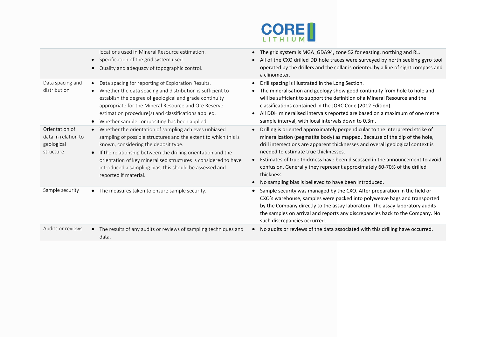

|                                                                  | locations used in Mineral Resource estimation.<br>Specification of the grid system used.<br>Quality and adequacy of topographic control.<br>$\bullet$                                                                                                                                                                                                                                   | The grid system is MGA_GDA94, zone 52 for easting, northing and RL.<br>$\bullet$<br>All of the CXO drilled DD hole traces were surveyed by north seeking gyro tool<br>$\bullet$<br>operated by the drillers and the collar is oriented by a line of sight compass and<br>a clinometer.                                                                                                                                                                                                                                               |
|------------------------------------------------------------------|-----------------------------------------------------------------------------------------------------------------------------------------------------------------------------------------------------------------------------------------------------------------------------------------------------------------------------------------------------------------------------------------|--------------------------------------------------------------------------------------------------------------------------------------------------------------------------------------------------------------------------------------------------------------------------------------------------------------------------------------------------------------------------------------------------------------------------------------------------------------------------------------------------------------------------------------|
| Data spacing and<br>distribution                                 | Data spacing for reporting of Exploration Results.<br>Whether the data spacing and distribution is sufficient to<br>establish the degree of geological and grade continuity<br>appropriate for the Mineral Resource and Ore Reserve<br>estimation procedure(s) and classifications applied.<br>Whether sample compositing has been applied.                                             | Drill spacing is illustrated in the Long Section.<br>The mineralisation and geology show good continuity from hole to hole and<br>will be sufficient to support the definition of a Mineral Resource and the<br>classifications contained in the JORC Code (2012 Edition).<br>All DDH mineralised intervals reported are based on a maximum of one metre<br>$\bullet$<br>sample interval, with local intervals down to 0.3m.                                                                                                         |
| Orientation of<br>data in relation to<br>geological<br>structure | Whether the orientation of sampling achieves unbiased<br>sampling of possible structures and the extent to which this is<br>known, considering the deposit type.<br>If the relationship between the drilling orientation and the<br>orientation of key mineralised structures is considered to have<br>introduced a sampling bias, this should be assessed and<br>reported if material. | Drilling is oriented approximately perpendicular to the interpreted strike of<br>mineralization (pegmatite body) as mapped. Because of the dip of the hole,<br>drill intersections are apparent thicknesses and overall geological context is<br>needed to estimate true thicknesses.<br>Estimates of true thickness have been discussed in the announcement to avoid<br>$\bullet$<br>confusion. Generally they represent approximately 60-70% of the drilled<br>thickness.<br>No sampling bias is believed to have been introduced. |
| Sample security                                                  | • The measures taken to ensure sample security.                                                                                                                                                                                                                                                                                                                                         | Sample security was managed by the CXO. After preparation in the field or<br>CXO's warehouse, samples were packed into polyweave bags and transported<br>by the Company directly to the assay laboratory. The assay laboratory audits<br>the samples on arrival and reports any discrepancies back to the Company. No<br>such discrepancies occurred.                                                                                                                                                                                |
| Audits or reviews                                                | The results of any audits or reviews of sampling techniques and<br>data.                                                                                                                                                                                                                                                                                                                | No audits or reviews of the data associated with this drilling have occurred.                                                                                                                                                                                                                                                                                                                                                                                                                                                        |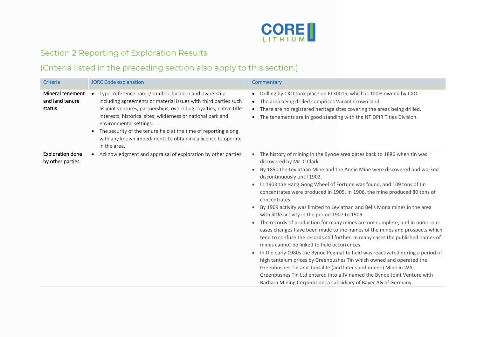

# Section 2 Reporting of Exploration Results

# (Criteria listed in the preceding section also apply to this section.)

| Criteria                                      | <b>JORC Code explanation</b>                                                                                                                                                                                                                                                                                                                                                                                                                            | Commentary                                                                                                                                                                                                                                                                                                                                                                                                                                                                                                                                                                                                                                                                                                                                                                                                                                                                                                                                                                                                                                                                                                                                                                                                                                                              |
|-----------------------------------------------|---------------------------------------------------------------------------------------------------------------------------------------------------------------------------------------------------------------------------------------------------------------------------------------------------------------------------------------------------------------------------------------------------------------------------------------------------------|-------------------------------------------------------------------------------------------------------------------------------------------------------------------------------------------------------------------------------------------------------------------------------------------------------------------------------------------------------------------------------------------------------------------------------------------------------------------------------------------------------------------------------------------------------------------------------------------------------------------------------------------------------------------------------------------------------------------------------------------------------------------------------------------------------------------------------------------------------------------------------------------------------------------------------------------------------------------------------------------------------------------------------------------------------------------------------------------------------------------------------------------------------------------------------------------------------------------------------------------------------------------------|
| Mineral tenement<br>and land tenure<br>status | Type, reference name/number, location and ownership<br>including agreements or material issues with third parties such<br>as joint ventures, partnerships, overriding royalties, native title<br>interests, historical sites, wilderness or national park and<br>environmental settings.<br>The security of the tenure held at the time of reporting along<br>$\bullet$<br>with any known impediments to obtaining a licence to operate<br>in the area. | Drilling by CXO took place on EL30015, which is 100% owned by CXO.<br>$\bullet$<br>The area being drilled comprises Vacant Crown land.<br>$\bullet$<br>There are no registered heritage sites covering the areas being drilled.<br>The tenements are in good standing with the NT DPIR Titles Division.<br>$\bullet$                                                                                                                                                                                                                                                                                                                                                                                                                                                                                                                                                                                                                                                                                                                                                                                                                                                                                                                                                    |
| <b>Exploration done</b><br>by other parties   | Acknowledgment and appraisal of exploration by other parties.                                                                                                                                                                                                                                                                                                                                                                                           | The history of mining in the Bynoe area dates back to 1886 when tin was<br>$\bullet$<br>discovered by Mr. C Clark.<br>By 1890 the Leviathan Mine and the Annie Mine were discovered and worked<br>discontinuously until 1902.<br>In 1903 the Hang Gong Wheel of Fortune was found, and 109 tons of tin<br>$\bullet$<br>concentrates were produced in 1905. In 1906, the mine produced 80 tons of<br>concentrates.<br>By 1909 activity was limited to Leviathan and Bells Mona mines in the area<br>$\bullet$<br>with little activity in the period 1907 to 1909.<br>The records of production for many mines are not complete, and in numerous<br>$\bullet$<br>cases changes have been made to the names of the mines and prospects which<br>tend to confuse the records still further. In many cases the published names of<br>mines cannot be linked to field occurrences.<br>In the early 1980s the Bynoe Pegmatite field was reactivated during a period of<br>$\bullet$<br>high tantalum prices by Greenbushes Tin which owned and operated the<br>Greenbushes Tin and Tantalite (and later spodumene) Mine in WA.<br>Greenbushes Tin Ltd entered into a JV named the Bynoe Joint Venture with<br>Barbara Mining Corporation, a subsidiary of Bayer AG of Germany. |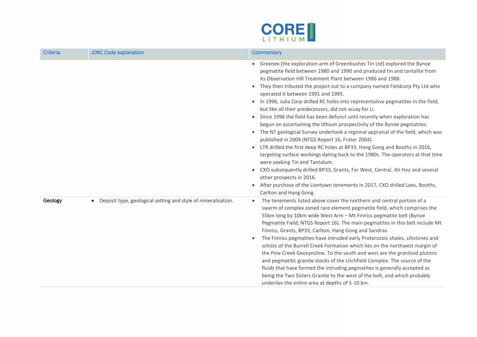

| Criteria | <b>JORC Code explanation</b>                                               | Commentary                                                                                                                                                                                                                                                                                                                                                                                                                                                                                                                                                                                                                                                                                                                                                                                                                                                                                                                                                                                                                                                                                                                                                                                                                                                                         |
|----------|----------------------------------------------------------------------------|------------------------------------------------------------------------------------------------------------------------------------------------------------------------------------------------------------------------------------------------------------------------------------------------------------------------------------------------------------------------------------------------------------------------------------------------------------------------------------------------------------------------------------------------------------------------------------------------------------------------------------------------------------------------------------------------------------------------------------------------------------------------------------------------------------------------------------------------------------------------------------------------------------------------------------------------------------------------------------------------------------------------------------------------------------------------------------------------------------------------------------------------------------------------------------------------------------------------------------------------------------------------------------|
|          |                                                                            | Greenex (the exploration arm of Greenbushes Tin Ltd) explored the Bynoe<br>pegmatite field between 1980 and 1990 and produced tin and tantalite from<br>its Observation Hill Treatment Plant between 1986 and 1988.<br>They then tributed the project out to a company named Fieldcorp Pty Ltd who<br>$\bullet$<br>operated it between 1991 and 1995.<br>In 1996, Julia Corp drilled RC holes into representative pegmatites in the field,<br>$\bullet$<br>but like all their predecessors, did not assay for Li.<br>Since 1996 the field has been defunct until recently when exploration has<br>$\bullet$<br>begun on ascertaining the lithium prospectivity of the Bynoe pegmatites.<br>• The NT geological Survey undertook a regional appraisal of the field, which was<br>published in 2004 (NTGS Report 16, Frater 2004).<br>LTR drilled the first deep RC holes at BP33, Hang Gong and Booths in 2016,<br>$\bullet$<br>targeting surface workings dating back to the 1980s. The operators at that time<br>were seeking Tin and Tantalum.<br>CXO subsequently drilled BP33, Grants, Far West, Central, Ah Hoy and several<br>$\bullet$<br>other prospects in 2016.<br>After purchase of the Liontown tenements in 2017, CXO drilled Lees, Booths,<br>Carlton and Hang Gong. |
| Geology  | Deposit type, geological setting and style of mineralisation.<br>$\bullet$ | The tenements listed above cover the northern and central portion of a<br>$\bullet$<br>swarm of complex zoned rare element pegmatite field, which comprises the<br>55km long by 10km wide West Arm - Mt Finniss pegmatite belt (Bynoe<br>Pegmatite Field; NTGS Report 16). The main pegmatites in this belt include Mt<br>Finniss, Grants, BP33, Carlton, Hang Gong and Sandras.<br>The Finniss pegmatites have intruded early Proterozoic shales, siltstones and<br>$\bullet$<br>schists of the Burrell Creek Formation which lies on the northwest margin of<br>the Pine Creek Geosyncline. To the south and west are the granitoid plutons<br>and pegmatitic granite stocks of the Litchfield Complex. The source of the<br>fluids that have formed the intruding pegmatites is generally accepted as<br>being the Two Sisters Granite to the west of the belt, and which probably<br>underlies the entire area at depths of 5-10 km.                                                                                                                                                                                                                                                                                                                                           |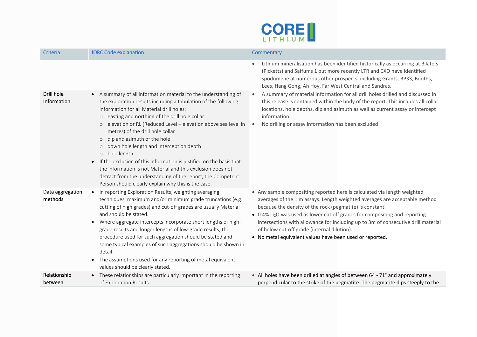

| Criteria                    | <b>JORC Code explanation</b>                                                                                                                                                                                                                                                                                                                                                                                                                                                                                                                                                                                                                                                                                                  | Commentary                                                                                                                                                                                                                                                                                                                                                                                                                                                                                                    |
|-----------------------------|-------------------------------------------------------------------------------------------------------------------------------------------------------------------------------------------------------------------------------------------------------------------------------------------------------------------------------------------------------------------------------------------------------------------------------------------------------------------------------------------------------------------------------------------------------------------------------------------------------------------------------------------------------------------------------------------------------------------------------|---------------------------------------------------------------------------------------------------------------------------------------------------------------------------------------------------------------------------------------------------------------------------------------------------------------------------------------------------------------------------------------------------------------------------------------------------------------------------------------------------------------|
|                             |                                                                                                                                                                                                                                                                                                                                                                                                                                                                                                                                                                                                                                                                                                                               | Lithium mineralisation has been identified historically as occurring at Bilato's<br>(Picketts) and Saffums 1 but more recently LTR and CXO have identified<br>spodumene at numerous other prospects, including Grants, BP33, Booths,<br>Lees, Hang Gong, Ah Hoy, Far West Central and Sandras.                                                                                                                                                                                                                |
| Drill hole<br>Information   | A summary of all information material to the understanding of<br>$\bullet$<br>the exploration results including a tabulation of the following<br>information for all Material drill holes:<br>o easting and northing of the drill hole collar<br>o elevation or RL (Reduced Level - elevation above sea level in<br>metres) of the drill hole collar<br>o dip and azimuth of the hole<br>o down hole length and interception depth<br>o hole length.<br>If the exclusion of this information is justified on the basis that<br>$\bullet$<br>the information is not Material and this exclusion does not<br>detract from the understanding of the report, the Competent<br>Person should clearly explain why this is the case. | A summary of material information for all drill holes drilled and discussed in<br>$\bullet$<br>this release is contained within the body of the report. This includes all collar<br>locations, hole depths, dip and azimuth as well as current assay or intercept<br>information.<br>No drilling or assay information has been excluded.                                                                                                                                                                      |
| Data aggregation<br>methods | In reporting Exploration Results, weighting averaging<br>$\bullet$<br>techniques, maximum and/or minimum grade truncations (e.g.<br>cutting of high grades) and cut-off grades are usually Material<br>and should be stated.<br>Where aggregate intercepts incorporate short lengths of high-<br>$\bullet$<br>grade results and longer lengths of low-grade results, the<br>procedure used for such aggregation should be stated and<br>some typical examples of such aggregations should be shown in<br>detail.<br>The assumptions used for any reporting of metal equivalent<br>$\bullet$<br>values should be clearly stated.                                                                                               | • Any sample compositing reported here is calculated via length weighted<br>averages of the 1 m assays. Length weighted averages are acceptable method<br>because the density of the rock (pegmatite) is constant.<br>• 0.4% Li <sub>2</sub> O was used as lower cut off grades for compositing and reporting<br>intersections with allowance for including up to 3m of consecutive drill material<br>of below cut-off grade (internal dilution).<br>• No metal equivalent values have been used or reported. |
| Relationship<br>between     | These relationships are particularly important in the reporting<br>$\bullet$<br>of Exploration Results.                                                                                                                                                                                                                                                                                                                                                                                                                                                                                                                                                                                                                       | • All holes have been drilled at angles of between 64 - 71° and approximately<br>perpendicular to the strike of the pegmatite. The pegmatite dips steeply to the                                                                                                                                                                                                                                                                                                                                              |